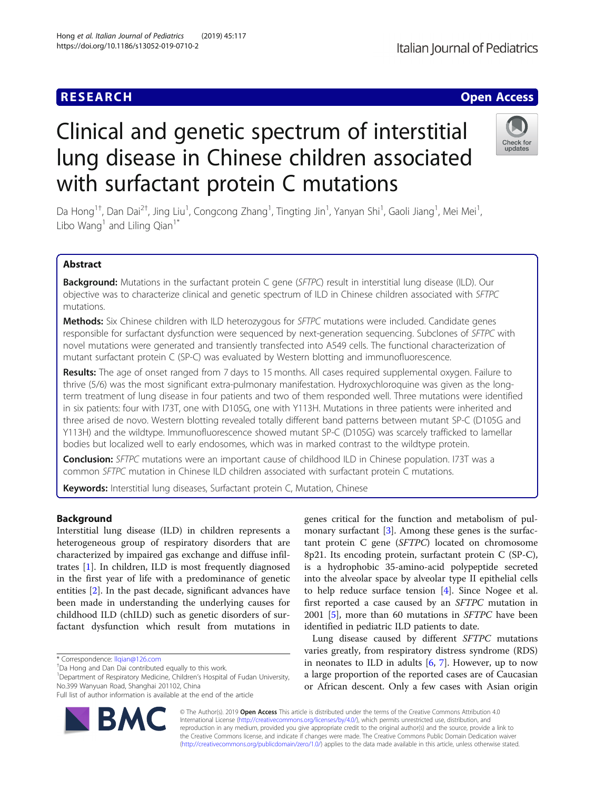## **RESEARCH CHE Open Access**

# Clinical and genetic spectrum of interstitial lung disease in Chinese children associated with surfactant protein C mutations

Da Hong<sup>1†</sup>, Dan Dai<sup>2†</sup>, Jing Liu<sup>1</sup>, Congcong Zhang<sup>1</sup>, Tingting Jin<sup>1</sup>, Yanyan Shi<sup>1</sup>, Gaoli Jiang<sup>1</sup>, Mei Mei<sup>1</sup> , Libo Wang<sup>1</sup> and Liling Qian<sup>1\*</sup>

## Abstract

Background: Mutations in the surfactant protein C gene (SFTPC) result in interstitial lung disease (ILD). Our objective was to characterize clinical and genetic spectrum of ILD in Chinese children associated with SFTPC mutations.

Methods: Six Chinese children with ILD heterozygous for SFTPC mutations were included. Candidate genes responsible for surfactant dysfunction were sequenced by next-generation sequencing. Subclones of SFTPC with novel mutations were generated and transiently transfected into A549 cells. The functional characterization of mutant surfactant protein C (SP-C) was evaluated by Western blotting and immunofluorescence.

Results: The age of onset ranged from 7 days to 15 months. All cases required supplemental oxygen. Failure to thrive (5/6) was the most significant extra-pulmonary manifestation. Hydroxychloroquine was given as the longterm treatment of lung disease in four patients and two of them responded well. Three mutations were identified in six patients: four with I73T, one with D105G, one with Y113H. Mutations in three patients were inherited and three arised de novo. Western blotting revealed totally different band patterns between mutant SP-C (D105G and Y113H) and the wildtype. Immunofluorescence showed mutant SP-C (D105G) was scarcely trafficked to lamellar bodies but localized well to early endosomes, which was in marked contrast to the wildtype protein.

**Conclusion:** SFTPC mutations were an important cause of childhood ILD in Chinese population. I73T was a common SFTPC mutation in Chinese ILD children associated with surfactant protein C mutations.

Keywords: Interstitial lung diseases, Surfactant protein C, Mutation, Chinese

## Background

Interstitial lung disease (ILD) in children represents a heterogeneous group of respiratory disorders that are characterized by impaired gas exchange and diffuse infiltrates [\[1\]](#page-6-0). In children, ILD is most frequently diagnosed in the first year of life with a predominance of genetic entities [[2](#page-6-0)]. In the past decade, significant advances have been made in understanding the underlying causes for childhood ILD (chILD) such as genetic disorders of surfactant dysfunction which result from mutations in

\* Correspondence: [llqian@126.com](mailto:llqian@126.com) †

<sup>1</sup>Department of Respiratory Medicine, Children's Hospital of Fudan University, No.399 Wanyuan Road, Shanghai 201102, China

© The Author(s). 2019 Open Access This article is distributed under the terms of the Creative Commons Attribution 4.0 International License [\(http://creativecommons.org/licenses/by/4.0/](http://creativecommons.org/licenses/by/4.0/)), which permits unrestricted use, distribution, and reproduction in any medium, provided you give appropriate credit to the original author(s) and the source, provide a link to the Creative Commons license, and indicate if changes were made. The Creative Commons Public Domain Dedication waiver [\(http://creativecommons.org/publicdomain/zero/1.0/](http://creativecommons.org/publicdomain/zero/1.0/)) applies to the data made available in this article, unless otherwise stated.

monary surfactant [\[3](#page-6-0)]. Among these genes is the surfactant protein C gene (SFTPC) located on chromosome 8p21. Its encoding protein, surfactant protein C (SP-C), is a hydrophobic 35-amino-acid polypeptide secreted into the alveolar space by alveolar type II epithelial cells to help reduce surface tension [\[4](#page-6-0)]. Since Nogee et al. first reported a case caused by an SFTPC mutation in 2001 [[5](#page-6-0)], more than 60 mutations in SFTPC have been identified in pediatric ILD patients to date.

genes critical for the function and metabolism of pul-

Lung disease caused by different SFTPC mutations varies greatly, from respiratory distress syndrome (RDS) in neonates to ILD in adults  $[6, 7]$  $[6, 7]$  $[6, 7]$ . However, up to now a large proportion of the reported cases are of Caucasian or African descent. Only a few cases with Asian origin







<sup>&</sup>lt;sup>+</sup>Da Hong and Dan Dai contributed equally to this work.

Full list of author information is available at the end of the article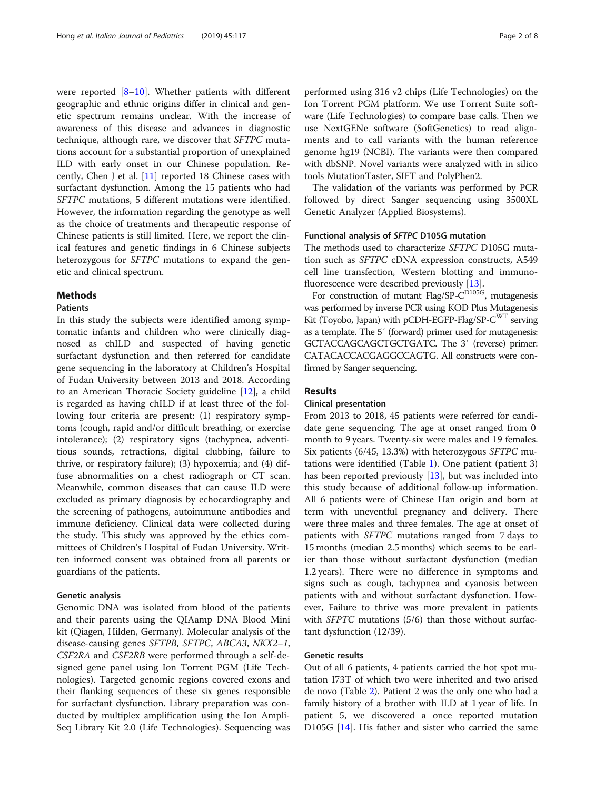were reported [[8](#page-6-0)–[10\]](#page-6-0). Whether patients with different geographic and ethnic origins differ in clinical and genetic spectrum remains unclear. With the increase of awareness of this disease and advances in diagnostic technique, although rare, we discover that SFTPC mutations account for a substantial proportion of unexplained ILD with early onset in our Chinese population. Recently, Chen J et al. [[11\]](#page-6-0) reported 18 Chinese cases with surfactant dysfunction. Among the 15 patients who had SFTPC mutations, 5 different mutations were identified. However, the information regarding the genotype as well as the choice of treatments and therapeutic response of Chinese patients is still limited. Here, we report the clinical features and genetic findings in 6 Chinese subjects heterozygous for SFTPC mutations to expand the genetic and clinical spectrum.

## Methods

## Patients

In this study the subjects were identified among symptomatic infants and children who were clinically diagnosed as chILD and suspected of having genetic surfactant dysfunction and then referred for candidate gene sequencing in the laboratory at Children's Hospital of Fudan University between 2013 and 2018. According to an American Thoracic Society guideline [\[12](#page-6-0)], a child is regarded as having chILD if at least three of the following four criteria are present: (1) respiratory symptoms (cough, rapid and/or difficult breathing, or exercise intolerance); (2) respiratory signs (tachypnea, adventitious sounds, retractions, digital clubbing, failure to thrive, or respiratory failure); (3) hypoxemia; and (4) diffuse abnormalities on a chest radiograph or CT scan. Meanwhile, common diseases that can cause ILD were excluded as primary diagnosis by echocardiography and the screening of pathogens, autoimmune antibodies and immune deficiency. Clinical data were collected during the study. This study was approved by the ethics committees of Children's Hospital of Fudan University. Written informed consent was obtained from all parents or guardians of the patients.

## Genetic analysis

Genomic DNA was isolated from blood of the patients and their parents using the QIAamp DNA Blood Mini kit (Qiagen, Hilden, Germany). Molecular analysis of the disease-causing genes SFTPB, SFTPC, ABCA3, NKX2–1, CSF2RA and CSF2RB were performed through a self-designed gene panel using Ion Torrent PGM (Life Technologies). Targeted genomic regions covered exons and their flanking sequences of these six genes responsible for surfactant dysfunction. Library preparation was conducted by multiplex amplification using the Ion Ampli-Seq Library Kit 2.0 (Life Technologies). Sequencing was

performed using 316 v2 chips (Life Technologies) on the Ion Torrent PGM platform. We use Torrent Suite software (Life Technologies) to compare base calls. Then we use NextGENe software (SoftGenetics) to read alignments and to call variants with the human reference genome hg19 (NCBI). The variants were then compared with dbSNP. Novel variants were analyzed with in silico tools MutationTaster, SIFT and PolyPhen2.

The validation of the variants was performed by PCR followed by direct Sanger sequencing using 3500XL Genetic Analyzer (Applied Biosystems).

## Functional analysis of SFTPC D105G mutation

The methods used to characterize SFTPC D105G mutation such as SFTPC cDNA expression constructs, A549 cell line transfection, Western blotting and immunofluorescence were described previously [[13\]](#page-6-0).

For construction of mutant Flag/SP- $C^{D105G}$ , mutagenesis was performed by inverse PCR using KOD Plus Mutagenesis Kit (Toyobo, Japan) with pCDH-EGFP-Flag/SP-C<sup>WT</sup> serving as a template. The 5′ (forward) primer used for mutagenesis: GCTACCAGCAGCTGCTGATC. The 3′ (reverse) primer: CATACACCACGAGGCCAGTG. All constructs were confirmed by Sanger sequencing.

## Results

## Clinical presentation

From 2013 to 2018, 45 patients were referred for candidate gene sequencing. The age at onset ranged from 0 month to 9 years. Twenty-six were males and 19 females. Six patients (6/45, 13.3%) with heterozygous SFTPC mutations were identified (Table [1](#page-2-0)). One patient (patient 3) has been reported previously [\[13](#page-6-0)], but was included into this study because of additional follow-up information. All 6 patients were of Chinese Han origin and born at term with uneventful pregnancy and delivery. There were three males and three females. The age at onset of patients with SFTPC mutations ranged from 7 days to 15 months (median 2.5 months) which seems to be earlier than those without surfactant dysfunction (median 1.2 years). There were no difference in symptoms and signs such as cough, tachypnea and cyanosis between patients with and without surfactant dysfunction. However, Failure to thrive was more prevalent in patients with *SFPTC* mutations (5/6) than those without surfactant dysfunction (12/39).

## Genetic results

Out of all 6 patients, 4 patients carried the hot spot mutation I73T of which two were inherited and two arised de novo (Table [2\)](#page-3-0). Patient 2 was the only one who had a family history of a brother with ILD at 1 year of life. In patient 5, we discovered a once reported mutation D105G [[14\]](#page-6-0). His father and sister who carried the same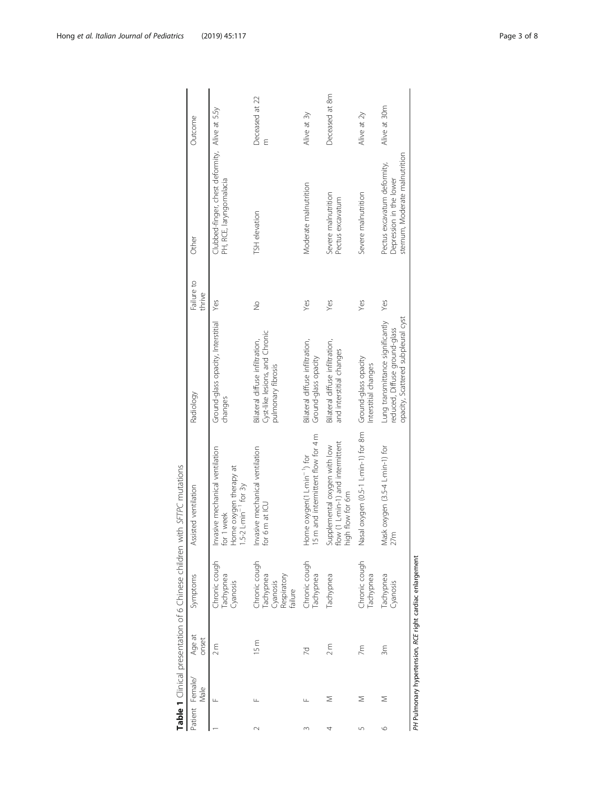<span id="page-2-0"></span>

|         |                         |                 |                                                                  | Table 1 Clinical presentation of 6 Chinese children with SFTPC mutations                                   |                                                                                                         |                      |                                                                                          |                     |
|---------|-------------------------|-----------------|------------------------------------------------------------------|------------------------------------------------------------------------------------------------------------|---------------------------------------------------------------------------------------------------------|----------------------|------------------------------------------------------------------------------------------|---------------------|
|         | Patient Female/<br>Male | Age at<br>onset | Symptoms                                                         | Assisted ventilation                                                                                       | Radiology                                                                                               | Failure to<br>thrive | Other                                                                                    | Outcome             |
|         |                         | $\frac{2}{3}$   | Chronic cough<br>Tachypnea<br>Cyanosis                           | Invasive mechanical ventilation<br>Home oxygen therapy at<br>1.5-2L-min <sup>-1</sup> for 3y<br>for 1 week | Ground-glass opacity, Interstitial<br>changes                                                           | Yes                  | Clubbed-finger, chest deformity, Alive at 5.5y<br>PH, RCE, laryngomalacia                |                     |
|         |                         | 15m             | Chronic cough<br>Respiratory<br>Tachypnea<br>Cyanosis<br>failure | Invasive mechanical ventilation<br>for 6 m at ICU                                                          | Cyst-like lesions, and Chronic<br>Bilateral diffuse infiltration,<br>pulmonary fibrosis                 | $\frac{1}{2}$        | TSH elevation                                                                            | Deceased at 22<br>ε |
|         |                         | 7d              | Chronic cough<br>Tachypnea                                       | 15 m and intermittent flow for 4 m<br>Home oxygen(1 L·min <sup>-1</sup> ) for                              | Bilateral diffuse infiltration,<br>Ground-glass opacity                                                 | Yes                  | Moderate malnutrition                                                                    | Alive at 3y         |
| 4       | Σ                       | 2m              | Tachypnea                                                        | Supplemental oxygen with low<br>flow (1 L-min-1) and intermittent<br>high flow for 6m                      | Bilateral diffuse infiltration,<br>and interstitial changes                                             | Yes                  | Severe malnutrition<br>Pectus excavatum                                                  | Deceased at 8m      |
| 5       | Σ                       | 7 <sub>m</sub>  | Chronic cough<br>Tachypnea                                       | Nasal oxygen (0.5-1 L-min-1) for 8m Ground-glass opacity                                                   | Interstitial changes                                                                                    | Yes                  | Severe malnutrition                                                                      | Alive at 2y         |
| $\circ$ | Σ                       | 3m              | Tachypnea<br>Cyanosis                                            | Mask oxygen (3.5-4 L-min-1) for<br>27m                                                                     | opacity, Scattered subpleural cyst<br>Lung transmittance significantly<br>reduced, Diffuse ground-glass | Yes                  | sternum, Moderate malnutrition<br>Pectus excavatum deformity,<br>Depression in the lower | Alive at 30m        |
|         |                         |                 | PH Pulmonary hypertension, RCE right cardiac enlargement         |                                                                                                            |                                                                                                         |                      |                                                                                          |                     |

| ١<br>$\frac{1}{2}$                |
|-----------------------------------|
| $\ddotsc$<br>ί<br>l               |
| ١                                 |
| $\overline{ }$                    |
| ļ<br>1<br>-<br>-                  |
| I<br>١<br>í<br>Ï<br>i.            |
| j                                 |
| $+ - - -$<br>١                    |
| ś<br>I<br>I<br>$\frac{1}{2}$<br>j |
|                                   |
| $\overline{\phantom{a}}$<br>I     |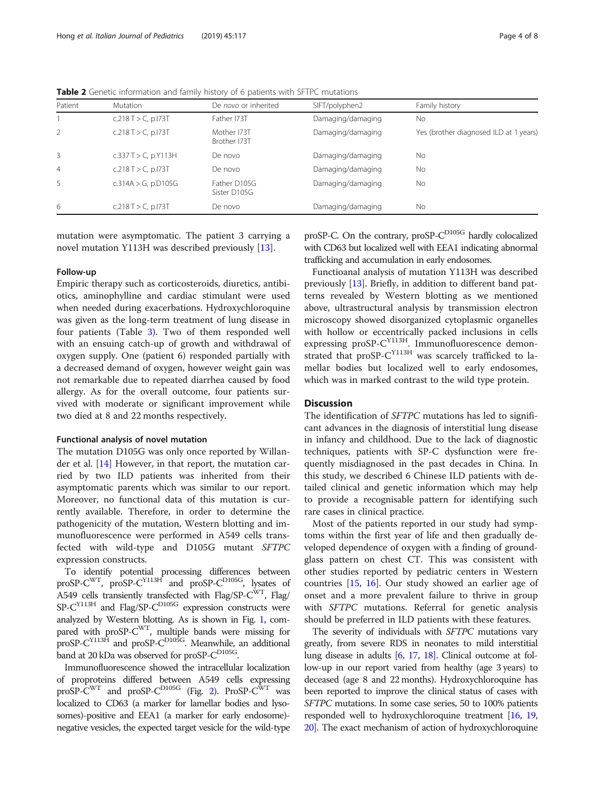<span id="page-3-0"></span>Table 2 Genetic information and family history of 6 patients with SFTPC mutations

| Patient                  | <b>Mutation</b>        | De novo or inherited         | SIFT/polyphen2    | Family history                         |
|--------------------------|------------------------|------------------------------|-------------------|----------------------------------------|
|                          | c.218 T > C, p.173 T   | Father I73T                  | Damaging/damaging | No.                                    |
| $\overline{\phantom{a}}$ | c.218 T > C, p.173 T   | Mother I73T<br>Brother I73T  | Damaging/damaging | Yes (brother diagnosed ILD at 1 years) |
| 3                        | $c.337T > C$ , p.Y113H | De novo                      | Damaging/damaging | No.                                    |
| $\overline{4}$           | c.218 T > C, p.173 T   | De novo                      | Damaging/damaging | No                                     |
| 5                        | $c.314A > G$ , p.D105G | Father D105G<br>Sister D105G | Damaging/damaging | No                                     |
| 6                        | c.218 T > C, p.173 T   | De novo                      | Damaging/damaging | No.                                    |

mutation were asymptomatic. The patient 3 carrying a novel mutation Y113H was described previously [[13](#page-6-0)].

## Follow-up

Empiric therapy such as corticosteroids, diuretics, antibiotics, aminophylline and cardiac stimulant were used when needed during exacerbations. Hydroxychloroquine was given as the long-term treatment of lung disease in four patients (Table [3\)](#page-4-0). Two of them responded well with an ensuing catch-up of growth and withdrawal of oxygen supply. One (patient 6) responded partially with a decreased demand of oxygen, however weight gain was not remarkable due to repeated diarrhea caused by food allergy. As for the overall outcome, four patients survived with moderate or significant improvement while two died at 8 and 22 months respectively.

### Functional analysis of novel mutation

The mutation D105G was only once reported by Willander et al. [\[14](#page-6-0)] However, in that report, the mutation carried by two ILD patients was inherited from their asymptomatic parents which was similar to our report. Moreover, no functional data of this mutation is currently available. Therefore, in order to determine the pathogenicity of the mutation, Western blotting and immunofluorescence were performed in A549 cells transfected with wild-type and D105G mutant SFTPC expression constructs.

To identify potential processing differences between proSP- $C^{WT}$ , proSP- $C^{Y113H}$  and proSP- $C^{D105G}$ , lysates of A549 cells transiently transfected with Flag/SP-C<sup>WT</sup>, Flag/  $SP-C<sup>Y113H</sup>$  and Flag/SP-C<sup>D105G</sup> expression constructs were analyzed by Western blotting. As is shown in Fig. [1](#page-5-0), compared with proSP-CWT, multiple bands were missing for proSP-C<sup>Y113H</sup> and proSP-C<sup>D105G</sup>. Meanwhile, an additional band at 20 kDa was observed for proSP-C<sup>D105G</sup>.

Immunofluorescence showed the intracellular localization of proproteins differed between A549 cells expressing  $proS P-C<sup>WT</sup>$  and  $proS P-C<sup>D105G</sup>$  (Fig. [2](#page-5-0)). ProSP- $C<sup>WT</sup>$  was localized to CD63 (a marker for lamellar bodies and lysosomes)-positive and EEA1 (a marker for early endosome) negative vesicles, the expected target vesicle for the wild-type

proSP-C. On the contrary, proSP-C<sup>D105G</sup> hardly colocalized with CD63 but localized well with EEA1 indicating abnormal trafficking and accumulation in early endosomes.

Functioanal analysis of mutation Y113H was described previously [[13](#page-6-0)]. Briefly, in addition to different band patterns revealed by Western blotting as we mentioned above, ultrastructural analysis by transmission electron microscopy showed disorganized cytoplasmic organelles with hollow or eccentrically packed inclusions in cells expressing proSP-C<sup>Y113H</sup>. Immunofluorescence demonstrated that  $proj_{P}$  proSP- $C^{Y113H}$  was scarcely trafficked to lamellar bodies but localized well to early endosomes, which was in marked contrast to the wild type protein.

## **Discussion**

The identification of SFTPC mutations has led to significant advances in the diagnosis of interstitial lung disease in infancy and childhood. Due to the lack of diagnostic techniques, patients with SP-C dysfunction were frequently misdiagnosed in the past decades in China. In this study, we described 6 Chinese ILD patients with detailed clinical and genetic information which may help to provide a recognisable pattern for identifying such rare cases in clinical practice.

Most of the patients reported in our study had symptoms within the first year of life and then gradually developed dependence of oxygen with a finding of groundglass pattern on chest CT. This was consistent with other studies reported by pediatric centers in Western countries [\[15,](#page-6-0) [16](#page-6-0)]. Our study showed an earlier age of onset and a more prevalent failure to thrive in group with SFTPC mutations. Referral for genetic analysis should be preferred in ILD patients with these features.

The severity of individuals with SFTPC mutations vary greatly, from severe RDS in neonates to mild interstitial lung disease in adults [\[6](#page-6-0), [17](#page-6-0), [18\]](#page-6-0). Clinical outcome at follow-up in our report varied from healthy (age 3 years) to deceased (age 8 and 22 months). Hydroxychloroquine has been reported to improve the clinical status of cases with SFTPC mutations. In some case series, 50 to 100% patients responded well to hydroxychloroquine treatment [\[16,](#page-6-0) [19](#page-6-0), [20](#page-6-0)]. The exact mechanism of action of hydroxychloroquine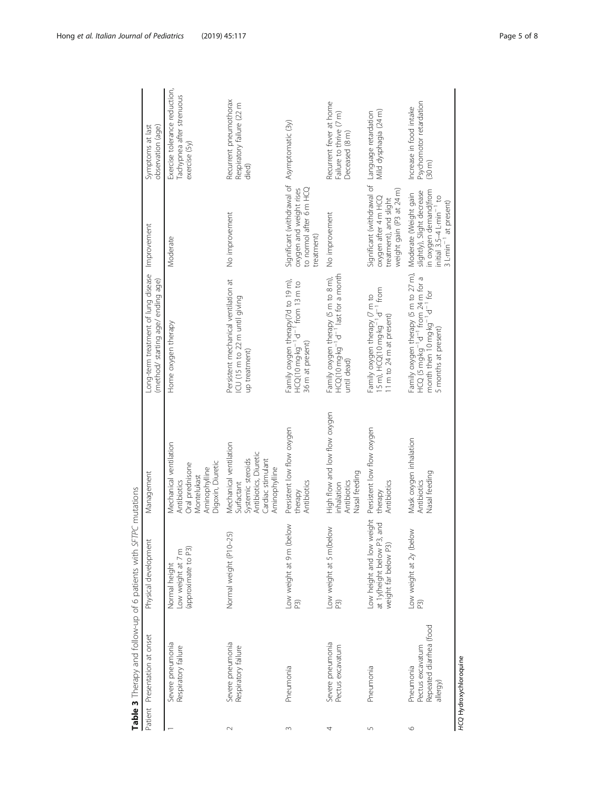<span id="page-4-0"></span>

|         | Patient Presentation at onset                                        | Physical development                                                                    | Management                                                                                                               | Long-term treatment of lung disease<br>(method/starting age/ending age)                                                                                                        | Improvement                                                                                                                                                 | Symptoms at last<br>observation (age)                                       |
|---------|----------------------------------------------------------------------|-----------------------------------------------------------------------------------------|--------------------------------------------------------------------------------------------------------------------------|--------------------------------------------------------------------------------------------------------------------------------------------------------------------------------|-------------------------------------------------------------------------------------------------------------------------------------------------------------|-----------------------------------------------------------------------------|
|         | Severe pneumonia<br>Respiratory failure                              | (approximate to P3)<br>Low weight at 7 m<br>Normal height                               | Mechanical ventilation<br>Digoxin, Diuretic<br>Oral prednisone<br>Aminophylline<br>Montelukast<br>Antibiotics            | Home oxygen therapy                                                                                                                                                            | Moderate                                                                                                                                                    | Exercise tolerance reduction,<br>Tachypnea after strenuous<br>exercise (5y) |
| Z       | Severe pneumonia<br>Respiratory failure                              | Normal weight (P10-25)                                                                  | Mechanical ventilation<br>Antibiotics, Diuretic<br>Cardiac stimulant<br>Systemic steroids<br>Aminophylline<br>Surfactant | Persistent mechanical ventilation at<br>ICU (15 m to 22 m until giving<br>up treatment)                                                                                        | No improvement                                                                                                                                              | Recurrent pneumothorax<br>Respiratory failure (22 m<br>died)                |
| 3       | Pneumonia                                                            | Low weight at 9 m (below<br>P3)                                                         | Persistent low flow oxygen<br>Antibiotics<br>therapy                                                                     | Family oxygen therapy(7d to 19 m),<br>HCQ(10 mg kg <sup>-1</sup> d <sup>-1</sup> from 13 m to<br>36 m at present)                                                              | Significant (withdrawal of<br>oxygen and weight rises<br>to normol after 6 m HCQ<br>treatment)                                                              | Asymptomatic (3y)                                                           |
| 4       | Severe pneumonia<br>Pectus excavatum                                 | Low weight at 5 m(below<br>P3)                                                          | High flow and low flow oxygen<br>Nasal feeding<br>Antibiotics<br>inhalation                                              | $HCO(10 mg \cdot kg^{-1} d^{-1}$ last for a month<br>Family oxygen therapy (5 m to 8 m),<br>until dead)                                                                        | No improvement                                                                                                                                              | Recurrent fever at home<br>Failure to thrive (7 m)<br>Deceased (8 m)        |
| 5       | Pneumonia                                                            | veight<br>and<br>Low height and low w<br>at 1y(height below P3,<br>weight far below P3) | Persistent low flow oxygen<br>Antibiotics<br>therapy                                                                     | Family oxygen therapy (7 m to<br>15 m), HCQ(10 mg·kg¯ 'd¯ ' from<br>11 m to 24 m at present)                                                                                   | Significant (withdrawal of<br>weight gain (P3 at 24 m)<br>oxygen after 4 m HCQ<br>treatment), and slight                                                    | Mild dysphagia (24 m)<br>Language retardation                               |
| $\circ$ | Repeated diarrhea (food<br>Pectus excavatum<br>Pneumonia<br>allergy) | Low weight at 2y (below<br>P3)                                                          | Mask oxygen inhalation<br>Nasal feeding<br>Antibiotics                                                                   | Family oxygen therapy (5 m to 27 m),<br>$HCO$ (5 mg $kg^{-1}$ d <sup>-1</sup> from 24 m for a<br>month then 10 mg·kg <sup>-1</sup> d <sup>-1</sup> for<br>5 months at present) | in oxygen demand(from<br>slightly), Slight decrease<br>Moderate (Weight gain<br>initial $3.5-4$ L·min <sup>-1</sup> to<br>3 L-min <sup>-1</sup> at present) | Psychomotor retardation<br>Increase in food intake<br>$(30 \text{ m})$      |

Table 3 Therapy and follow-up of 6 patients with SFTPC mutations **Table 3** Therapy and follow-up of 6 patients with SFTPC mutations

HCQ Hydroxychloroquine HCQ Hydroxychloroquine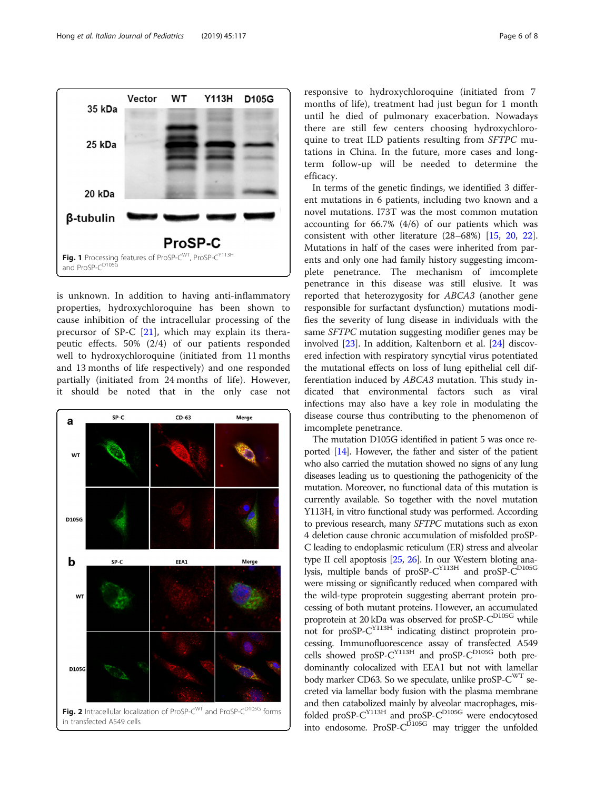is unknown. In addition to having anti-inflammatory properties, hydroxychloroquine has been shown to cause inhibition of the intracellular processing of the precursor of SP-C [[21\]](#page-6-0), which may explain its therapeutic effects. 50% (2/4) of our patients responded well to hydroxychloroquine (initiated from 11 months and 13 months of life respectively) and one responded partially (initiated from 24 months of life). However, it should be noted that in the only case not



responsive to hydroxychloroquine (initiated from 7 months of life), treatment had just begun for 1 month until he died of pulmonary exacerbation. Nowadays there are still few centers choosing hydroxychloroquine to treat ILD patients resulting from SFTPC mutations in China. In the future, more cases and longterm follow-up will be needed to determine the efficacy.

In terms of the genetic findings, we identified 3 different mutations in 6 patients, including two known and a novel mutations. I73T was the most common mutation accounting for 66.7% (4/6) of our patients which was consistent with other literature (28–68%) [[15](#page-6-0), [20](#page-6-0), [22](#page-6-0)]. Mutations in half of the cases were inherited from parents and only one had family history suggesting imcomplete penetrance. The mechanism of imcomplete penetrance in this disease was still elusive. It was reported that heterozygosity for ABCA3 (another gene responsible for surfactant dysfunction) mutations modifies the severity of lung disease in individuals with the same SFTPC mutation suggesting modifier genes may be involved [[23\]](#page-6-0). In addition, Kaltenborn et al. [[24\]](#page-7-0) discovered infection with respiratory syncytial virus potentiated the mutational effects on loss of lung epithelial cell differentiation induced by ABCA3 mutation. This study indicated that environmental factors such as viral infections may also have a key role in modulating the disease course thus contributing to the phenomenon of imcomplete penetrance.

The mutation D105G identified in patient 5 was once reported [\[14\]](#page-6-0). However, the father and sister of the patient who also carried the mutation showed no signs of any lung diseases leading us to questioning the pathogenicity of the mutation. Moreover, no functional data of this mutation is currently available. So together with the novel mutation Y113H, in vitro functional study was performed. According to previous research, many SFTPC mutations such as exon 4 deletion cause chronic accumulation of misfolded proSP-C leading to endoplasmic reticulum (ER) stress and alveolar type II cell apoptosis [\[25,](#page-7-0) [26](#page-7-0)]. In our Western bloting analysis, multiple bands of  $projP-C^{Y113H}$  and  $projP-C^{D105G}$ were missing or significantly reduced when compared with the wild-type proprotein suggesting aberrant protein processing of both mutant proteins. However, an accumulated proprotein at 20 kDa was observed for proSP-C $^{D105G}$  while not for proSP-CY113H indicating distinct proprotein processing. Immunofluorescence assay of transfected A549 cells showed proSP- $C^{Y113H}$  and proSP- $C^{D105G}$  both predominantly colocalized with EEA1 but not with lamellar body marker CD63. So we speculate, unlike proSP-C<sup>WT</sup> secreted via lamellar body fusion with the plasma membrane and then catabolized mainly by alveolar macrophages, misfolded proSP-C<sup>Y113H</sup> and proSP-C<sup>D105G</sup> were endocytosed into endosome. ProSP-C<sup>D105G</sup> may trigger the unfolded

<span id="page-5-0"></span>**WT Y113H** D105G Vector 35 kDa 25 kDa 20 kDa **B-tubulin** ProSP-C

Fig. 1 Processing features of ProSP-C<sup>WT</sup>, ProSP-C<sup>Y113H</sup>

and ProSP-CD105G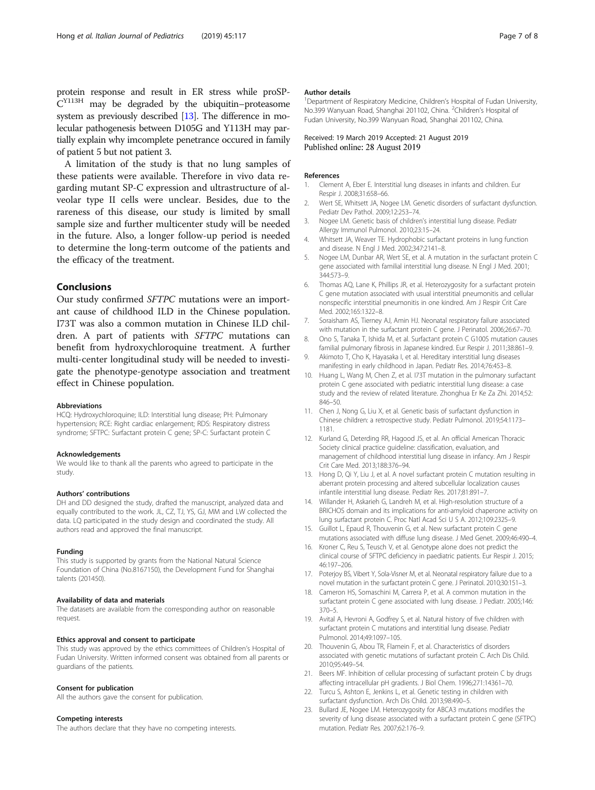<span id="page-6-0"></span>protein response and result in ER stress while proSP- $C<sup>Y113H</sup>$  may be degraded by the ubiquitin–proteasome system as previously described [13]. The difference in molecular pathogenesis between D105G and Y113H may partially explain why imcomplete penetrance occured in family of patient 5 but not patient 3.

A limitation of the study is that no lung samples of these patients were available. Therefore in vivo data regarding mutant SP-C expression and ultrastructure of alveolar type II cells were unclear. Besides, due to the rareness of this disease, our study is limited by small sample size and further multicenter study will be needed in the future. Also, a longer follow-up period is needed to determine the long-term outcome of the patients and the efficacy of the treatment.

## Conclusions

Our study confirmed SFTPC mutations were an important cause of childhood ILD in the Chinese population. I73T was also a common mutation in Chinese ILD children. A part of patients with SFTPC mutations can benefit from hydroxychloroquine treatment. A further multi-center longitudinal study will be needed to investigate the phenotype-genotype association and treatment effect in Chinese population.

#### Abbreviations

HCQ: Hydroxychloroquine; ILD: Interstitial lung disease; PH: Pulmonary hypertension; RCE: Right cardiac enlargement; RDS: Respiratory distress syndrome; SFTPC: Surfactant protein C gene; SP-C: Surfactant protein C

#### Acknowledgements

We would like to thank all the parents who agreed to participate in the study.

#### Authors' contributions

DH and DD designed the study, drafted the manuscript, analyzed data and equally contributed to the work. JL, CZ, TJ, YS, GJ, MM and LW collected the data. LQ participated in the study design and coordinated the study. All authors read and approved the final manuscript.

#### Funding

This study is supported by grants from the National Natural Science Foundation of China (No.8167150), the Development Fund for Shanghai talents (201450).

#### Availability of data and materials

The datasets are available from the corresponding author on reasonable request.

#### Ethics approval and consent to participate

This study was approved by the ethics committees of Children's Hospital of Fudan University. Written informed consent was obtained from all parents or guardians of the patients.

#### Consent for publication

All the authors gave the consent for publication.

#### Competing interests

The authors declare that they have no competing interests.

#### Author details

<sup>1</sup>Department of Respiratory Medicine, Children's Hospital of Fudan University, No.399 Wanyuan Road, Shanghai 201102, China. <sup>2</sup>Children's Hospital of Fudan University, No.399 Wanyuan Road, Shanghai 201102, China.

## Received: 19 March 2019 Accepted: 21 August 2019 Published online: 28 August 2019

#### References

- 1. Clement A, Eber E. Interstitial lung diseases in infants and children. Eur Respir J. 2008;31:658–66.
- 2. Wert SE, Whitsett JA, Nogee LM. Genetic disorders of surfactant dysfunction. Pediatr Dev Pathol. 2009;12:253–74.
- 3. Nogee LM. Genetic basis of children's interstitial lung disease. Pediatr Allergy Immunol Pulmonol. 2010;23:15–24.
- 4. Whitsett JA, Weaver TE. Hydrophobic surfactant proteins in lung function and disease. N Engl J Med. 2002;347:2141–8.
- 5. Nogee LM, Dunbar AR, Wert SE, et al. A mutation in the surfactant protein C gene associated with familial interstitial lung disease. N Engl J Med. 2001; 344:573–9.
- 6. Thomas AQ, Lane K, Phillips JR, et al. Heterozygosity for a surfactant protein C gene mutation associated with usual interstitial pneumonitis and cellular nonspecific interstitial pneumonitis in one kindred. Am J Respir Crit Care Med. 2002;165:1322–8.
- 7. Soraisham AS, Tierney AJ, Amin HJ. Neonatal respiratory failure associated with mutation in the surfactant protein C gene. J Perinatol. 2006;26:67–70.
- 8. Ono S, Tanaka T, Ishida M, et al. Surfactant protein C G100S mutation causes familial pulmonary fibrosis in Japanese kindred. Eur Respir J. 2011;38:861–9.
- 9. Akimoto T, Cho K, Hayasaka I, et al. Hereditary interstitial lung diseases manifesting in early childhood in Japan. Pediatr Res. 2014;76:453–8.
- 10. Huang L, Wang M, Chen Z, et al. I73T mutation in the pulmonary surfactant protein C gene associated with pediatric interstitial lung disease: a case study and the review of related literature. Zhonghua Er Ke Za Zhi. 2014;52: 846–50.
- 11. Chen J, Nong G, Liu X, et al. Genetic basis of surfactant dysfunction in Chinese children: a retrospective study. Pediatr Pulmonol. 2019;54:1173– 1181.
- 12. Kurland G, Deterding RR, Hagood JS, et al. An official American Thoracic Society clinical practice guideline: classification, evaluation, and management of childhood interstitial lung disease in infancy. Am J Respir Crit Care Med. 2013;188:376–94.
- 13. Hong D, Qi Y, Liu J, et al. A novel surfactant protein C mutation resulting in aberrant protein processing and altered subcellular localization causes infantile interstitial lung disease. Pediatr Res. 2017;81:891–7.
- 14. Willander H, Askarieh G, Landreh M, et al. High-resolution structure of a BRICHOS domain and its implications for anti-amyloid chaperone activity on lung surfactant protein C. Proc Natl Acad Sci U S A. 2012;109:2325–9.
- 15. Guillot L, Epaud R, Thouvenin G, et al. New surfactant protein C gene mutations associated with diffuse lung disease. J Med Genet. 2009;46:490–4.
- 16. Kroner C, Reu S, Teusch V, et al. Genotype alone does not predict the clinical course of SFTPC deficiency in paediatric patients. Eur Respir J. 2015; 46:197–206.
- 17. Poterjoy BS, Vibert Y, Sola-Visner M, et al. Neonatal respiratory failure due to a novel mutation in the surfactant protein C gene. J Perinatol. 2010;30:151–3.
- 18. Cameron HS, Somaschini M, Carrera P, et al. A common mutation in the surfactant protein C gene associated with lung disease. J Pediatr. 2005;146: 370–5.
- 19. Avital A, Hevroni A, Godfrey S, et al. Natural history of five children with surfactant protein C mutations and interstitial lung disease. Pediatr Pulmonol. 2014;49:1097–105.
- 20. Thouvenin G, Abou TR, Flamein F, et al. Characteristics of disorders associated with genetic mutations of surfactant protein C. Arch Dis Child. 2010;95:449–54.
- 21. Beers MF. Inhibition of cellular processing of surfactant protein C by drugs affecting intracellular pH gradients. J Biol Chem. 1996;271:14361–70.
- 22. Turcu S, Ashton E, Jenkins L, et al. Genetic testing in children with surfactant dysfunction. Arch Dis Child. 2013;98:490–5.
- 23. Bullard JE, Nogee LM. Heterozygosity for ABCA3 mutations modifies the severity of lung disease associated with a surfactant protein C gene (SFTPC) mutation. Pediatr Res. 2007;62:176–9.